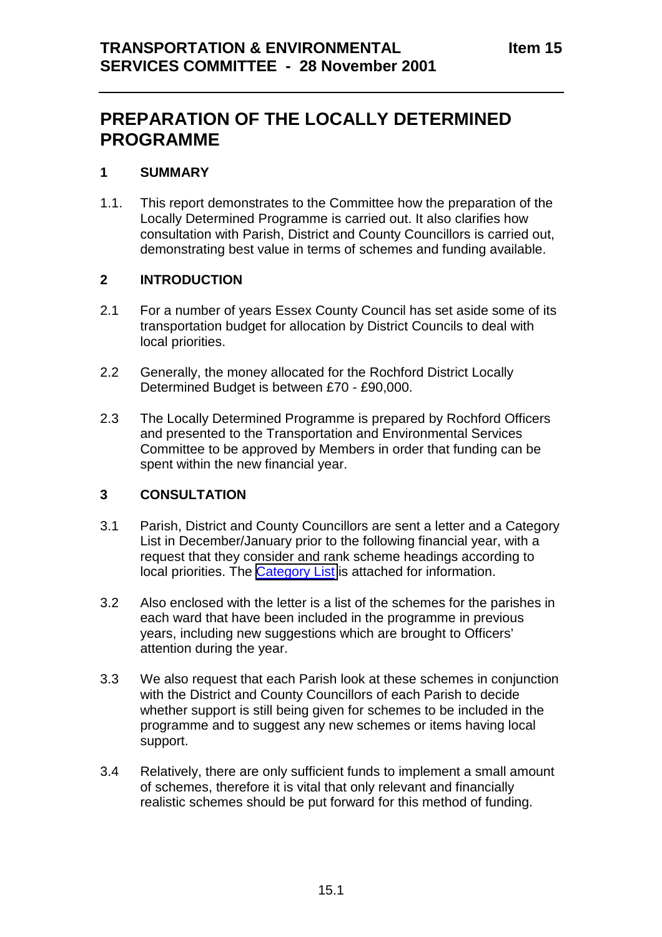# **PREPARATION OF THE LOCALLY DETERMINED PROGRAMME**

### **1 SUMMARY**

1.1. This report demonstrates to the Committee how the preparation of the Locally Determined Programme is carried out. It also clarifies how consultation with Parish, District and County Councillors is carried out, demonstrating best value in terms of schemes and funding available.

### **2 INTRODUCTION**

- 2.1 For a number of years Essex County Council has set aside some of its transportation budget for allocation by District Councils to deal with local priorities.
- 2.2 Generally, the money allocated for the Rochford District Locally Determined Budget is between £70 - £90,000.
- 2.3 The Locally Determined Programme is prepared by Rochford Officers and presented to the Transportation and Environmental Services Committee to be approved by Members in order that funding can be spent within the new financial year.

### **3 CONSULTATION**

- 3.1 Parish, District and County Councillors are sent a letter and a Category List in December/January prior to the following financial year, with a request that they consider and rank scheme headings according to local priorities. The Category List is attached for information.
- 3.2 Also enclosed with the letter is a list of the schemes for the parishes in each ward that have been included in the programme in previous years, including new suggestions which are brought to Officers' attention during the year.
- 3.3 We also request that each Parish look at these schemes in conjunction with the District and County Councillors of each Parish to decide whether support is still being given for schemes to be included in the programme and to suggest any new schemes or items having local support.
- 3.4 Relatively, there are only sufficient funds to implement a small amount of schemes, therefore it is vital that only relevant and financially realistic schemes should be put forward for this method of funding.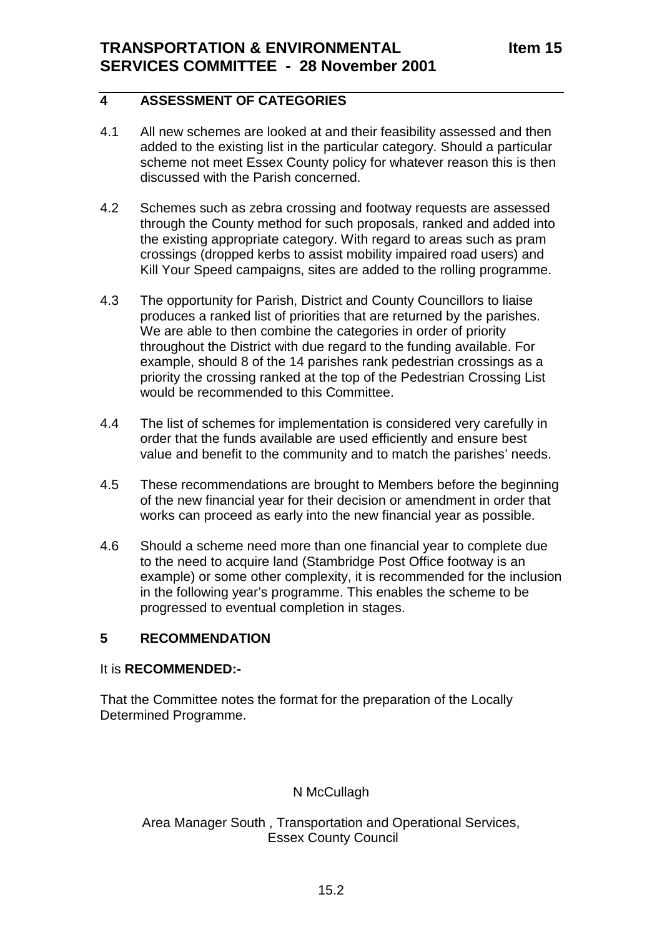# **4 ASSESSMENT OF CATEGORIES**

- 4.1 All new schemes are looked at and their feasibility assessed and then added to the existing list in the particular category. Should a particular scheme not meet Essex County policy for whatever reason this is then discussed with the Parish concerned.
- 4.2 Schemes such as zebra crossing and footway requests are assessed through the County method for such proposals, ranked and added into the existing appropriate category. With regard to areas such as pram crossings (dropped kerbs to assist mobility impaired road users) and Kill Your Speed campaigns, sites are added to the rolling programme.
- 4.3 The opportunity for Parish, District and County Councillors to liaise produces a ranked list of priorities that are returned by the parishes. We are able to then combine the categories in order of priority throughout the District with due regard to the funding available. For example, should 8 of the 14 parishes rank pedestrian crossings as a priority the crossing ranked at the top of the Pedestrian Crossing List would be recommended to this Committee.
- 4.4 The list of schemes for implementation is considered very carefully in order that the funds available are used efficiently and ensure best value and benefit to the community and to match the parishes' needs.
- 4.5 These recommendations are brought to Members before the beginning of the new financial year for their decision or amendment in order that works can proceed as early into the new financial year as possible.
- 4.6 Should a scheme need more than one financial year to complete due to the need to acquire land (Stambridge Post Office footway is an example) or some other complexity, it is recommended for the inclusion in the following year's programme. This enables the scheme to be progressed to eventual completion in stages.

### **5 RECOMMENDATION**

### It is **RECOMMENDED:-**

That the Committee notes the format for the preparation of the Locally Determined Programme.

### N McCullagh

Area Manager South , Transportation and Operational Services, Essex County Council